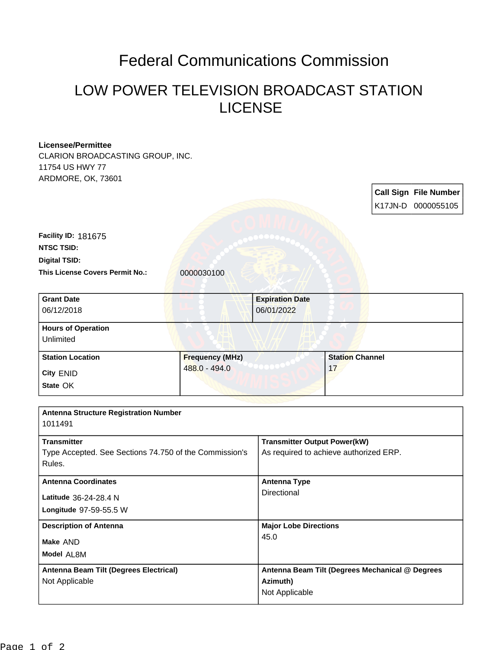## Federal Communications Commission

## LOW POWER TELEVISION BROADCAST STATION LICENSE

## **Licensee/Permittee**

CLARION BROADCASTING GROUP, INC. 11754 US HWY 77 ARDMORE, OK, 73601

**Call Sign File Number** K17JN-D 0000055105 **This License Covers Permit No.: 0000030100 Digital TSID: NTSC TSID: Facility ID:** 181675 **Model** AL8M **Make** AND **Longitude** 97-59-55.5 W **Latitude** 36-24-28.4 N **State** OK **City** ENID **Grant Date** 06/12/2018 **Expiration Date** 06/01/2022 **Hours of Operation Unlimited Station Location Frequency (MHz)** 488.0 - 494.0 **Station Channel** 17 **Antenna Structure Registration Number** 1011491 **Transmitter** Type Accepted. See Sections 74.750 of the Commission's Rules. **Transmitter Output Power(kW)** As required to achieve authorized ERP. **Antenna Coordinates Antenna Type Directional Description of Antenna Major Lobe Directions** 45.0 **Antenna Beam Tilt (Degrees Electrical)** Not Applicable **Antenna Beam Tilt (Degrees Mechanical @ Degrees Azimuth)** Not Applicable